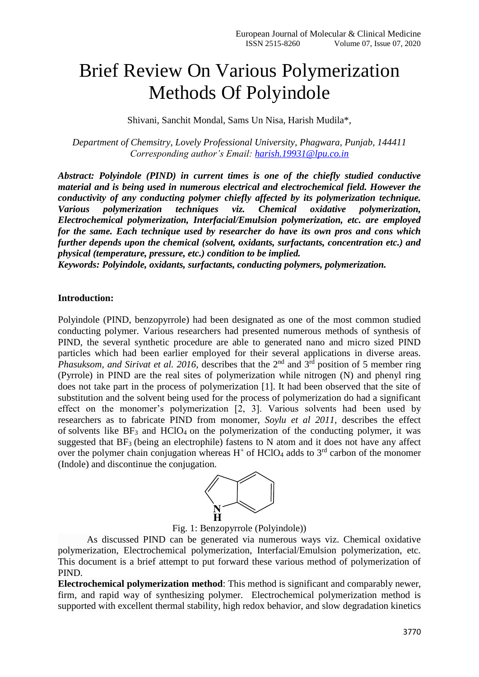## Brief Review On Various Polymerization Methods Of Polyindole

Shivani, Sanchit Mondal, Sams Un Nisa, Harish Mudila\*,

*Department of Chemsitry, Lovely Professional University, Phagwara, Punjab, 144411 Corresponding author's Email: [harish.19931@lpu.co.in](mailto:harish.19931@lpu.co.in)*

*Abstract: Polyindole (PIND) in current times is one of the chiefly studied conductive material and is being used in numerous electrical and electrochemical field. However the conductivity of any conducting polymer chiefly affected by its polymerization technique. Various polymerization techniques viz. Chemical oxidative polymerization, Electrochemical polymerization, Interfacial/Emulsion polymerization, etc. are employed for the same. Each technique used by researcher do have its own pros and cons which further depends upon the chemical (solvent, oxidants, surfactants, concentration etc.) and physical (temperature, pressure, etc.) condition to be implied.* 

*Keywords: Polyindole, oxidants, surfactants, conducting polymers, polymerization.*

## **Introduction:**

Polyindole (PIND, benzopyrrole) had been designated as one of the most common studied conducting polymer. Various researchers had presented numerous methods of synthesis of PIND, the several synthetic procedure are able to generated nano and micro sized PIND particles which had been earlier employed for their several applications in diverse areas. *Phasuksom, and Sirivat et al. 2016, describes that the* 2<sup>nd</sup> and 3<sup>rd</sup> position of 5 member ring (Pyrrole) in PIND are the real sites of polymerization while nitrogen (N) and phenyl ring does not take part in the process of polymerization [1]. It had been observed that the site of substitution and the solvent being used for the process of polymerization do had a significant effect on the monomer's polymerization [2, 3]. Various solvents had been used by researchers as to fabricate PIND from monomer, *Soylu et al 2011*, describes the effect of solvents like  $BF_3$  and  $HCIO_4$  on the polymerization of the conducting polymer, it was suggested that  $BF_3$  (being an electrophile) fastens to N atom and it does not have any affect over the polymer chain conjugation whereas  $H^+$  of HClO<sub>4</sub> adds to  $3<sup>rd</sup>$  carbon of the monomer (Indole) and discontinue the conjugation.



Fig. 1: Benzopyrrole (Polyindole))

As discussed PIND can be generated via numerous ways viz. Chemical oxidative polymerization, Electrochemical polymerization, Interfacial/Emulsion polymerization, etc. This document is a brief attempt to put forward these various method of polymerization of PIND.

**Electrochemical polymerization method**: This method is significant and comparably newer, firm, and rapid way of synthesizing polymer. Electrochemical polymerization method is supported with excellent thermal stability, high redox behavior, and slow degradation kinetics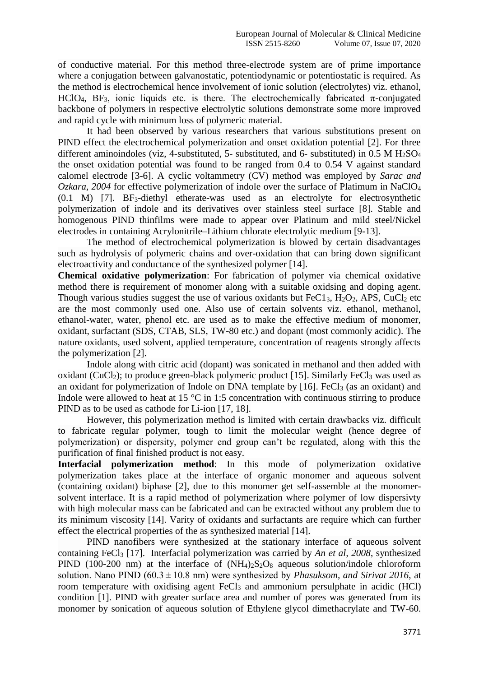of conductive material. For this method three-electrode system are of prime importance where a conjugation between galvanostatic, potentiodynamic or potentiostatic is required. As the method is electrochemical hence involvement of ionic solution (electrolytes) viz. ethanol, HClO<sub>4</sub>, BF<sub>3</sub>, ionic liquids etc. is there. The electrochemically fabricated  $\pi$ -conjugated backbone of polymers in respective electrolytic solutions demonstrate some more improved and rapid cycle with minimum loss of polymeric material.

It had been observed by various researchers that various substitutions present on PIND effect the electrochemical polymerization and onset oxidation potential [2]. For three different aminoindoles (viz, 4-substituted, 5- substituted, and 6- substituted) in 0.5 M H<sub>2</sub>SO<sub>4</sub> the onset oxidation potential was found to be ranged from 0.4 to 0.54 V against standard calomel electrode [3-6]. A cyclic voltammetry (CV) method was employed by *Sarac and Ozkara*, *2004* for effective polymerization of indole over the surface of Platimum in NaClO<sup>4</sup> (0.1 M) [7]. BF3-diethyl etherate-was used as an electrolyte for electrosynthetic polymerization of indole and its derivatives over stainless steel surface [8]. Stable and homogenous PIND thinfilms were made to appear over Platinum and mild steel/Nickel electrodes in containing Acrylonitrile–Lithium chlorate electrolytic medium [9-13].

The method of electrochemical polymerization is blowed by certain disadvantages such as hydrolysis of polymeric chains and over-oxidation that can bring down significant electroactivity and conductance of the synthesized polymer [14].

**Chemical oxidative polymerization**: For fabrication of polymer via chemical oxidative method there is requirement of monomer along with a suitable oxidsing and doping agent. Though various studies suggest the use of various oxidants but  $FeC1<sub>3</sub>$ , H<sub>2</sub>O<sub>2</sub>, APS, CuCl<sub>2</sub> etc are the most commonly used one. Also use of certain solvents viz. ethanol, methanol, ethanol-water, water, phenol etc. are used as to make the effective medium of monomer, oxidant, surfactant (SDS, CTAB, SLS, TW-80 etc.) and dopant (most commonly acidic). The nature oxidants, used solvent, applied temperature, concentration of reagents strongly affects the polymerization [2].

Indole along with citric acid (dopant) was sonicated in methanol and then added with oxidant (CuCl<sub>2</sub>); to produce green-black polymeric product [15]. Similarly FeCl<sub>3</sub> was used as an oxidant for polymerization of Indole on DNA template by  $[16]$ . FeCl<sub>3</sub> (as an oxidant) and Indole were allowed to heat at 15  $\degree$ C in 1:5 concentration with continuous stirring to produce PIND as to be used as cathode for Li-ion [17, 18].

However, this polymerization method is limited with certain drawbacks viz. difficult to fabricate regular polymer, tough to limit the molecular weight (hence degree of polymerization) or dispersity, polymer end group can't be regulated, along with this the purification of final finished product is not easy.

**Interfacial polymerization method**: In this mode of polymerization oxidative polymerization takes place at the interface of organic monomer and aqueous solvent (containing oxidant) biphase [2], due to this monomer get self-assemble at the monomersolvent interface. It is a rapid method of polymerization where polymer of low dispersivty with high molecular mass can be fabricated and can be extracted without any problem due to its minimum viscosity [14]. Varity of oxidants and surfactants are require which can further effect the electrical properties of the as synthesized material [14].

PIND nanofibers were synthesized at the stationary interface of aqueous solvent containing FeCl<sup>3</sup> [17]. Interfacial polymerization was carried by *An et al, 2008*, synthesized PIND (100-200 nm) at the interface of  $(NH<sub>4</sub>)<sub>2</sub>S<sub>2</sub>O<sub>8</sub>$  aqueous solution/indole chloroform solution. Nano PIND ( $60.3 \pm 10.8$  nm) were synthesized by *Phasuksom, and Sirivat 2016*, at room temperature with oxidising agent FeCl<sub>3</sub> and ammonium persulphate in acidic (HCl) condition [1]. PIND with greater surface area and number of pores was generated from its monomer by sonication of aqueous solution of Ethylene glycol dimethacrylate and TW-60.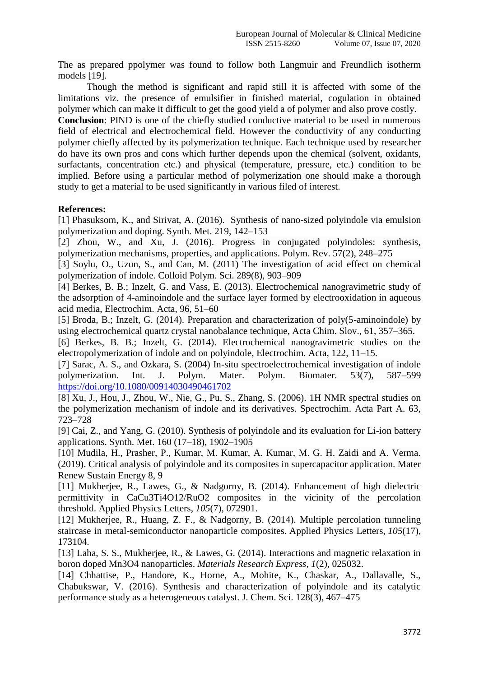The as prepared ppolymer was found to follow both Langmuir and Freundlich isotherm models [19].

Though the method is significant and rapid still it is affected with some of the limitations viz. the presence of emulsifier in finished material, cogulation in obtained polymer which can make it difficult to get the good yield a of polymer and also prove costly.

**Conclusion**: PIND is one of the chiefly studied conductive material to be used in numerous field of electrical and electrochemical field. However the conductivity of any conducting polymer chiefly affected by its polymerization technique. Each technique used by researcher do have its own pros and cons which further depends upon the chemical (solvent, oxidants, surfactants, concentration etc.) and physical (temperature, pressure, etc.) condition to be implied. Before using a particular method of polymerization one should make a thorough study to get a material to be used significantly in various filed of interest.

## **References:**

[1] Phasuksom, K., and Sirivat, A. (2016). Synthesis of nano-sized polyindole via emulsion polymerization and doping. Synth. Met. 219, 142–153

[2] Zhou, W., and Xu, J. (2016). Progress in conjugated polyindoles: synthesis, polymerization mechanisms, properties, and applications. Polym. Rev. 57(2), 248–275

[3] Soylu, O., Uzun, S., and Can, M. (2011) The investigation of acid effect on chemical polymerization of indole. Colloid Polym. Sci. 289(8), 903–909

[4] Berkes, B. B.; Inzelt, G. and Vass, E. (2013). Electrochemical nanogravimetric study of the adsorption of 4-aminoindole and the surface layer formed by electrooxidation in aqueous acid media, Electrochim. Acta, 96, 51–60

[5] Broda, B.; Inzelt, G. (2014). Preparation and characterization of poly(5-aminoindole) by using electrochemical quartz crystal nanobalance technique, Acta Chim. Slov., 61, 357–365.

[6] Berkes, B. B.; Inzelt, G. (2014). Electrochemical nanogravimetric studies on the electropolymerization of indole and on polyindole, Electrochim. Acta, 122, 11–15.

[7] Sarac, A. S., and Ozkara, S. (2004) In-situ spectroelectrochemical investigation of indole polymerization. Int. J. Polym. Mater. Polym. Biomater. 53(7), 587–599 <https://doi.org/10.1080/00914030490461702>

[8] Xu, J., Hou, J., Zhou, W., Nie, G., Pu, S., Zhang, S. (2006). 1H NMR spectral studies on the polymerization mechanism of indole and its derivatives. Spectrochim. Acta Part A. 63, 723–728

[9] Cai, Z., and Yang, G. (2010). Synthesis of polyindole and its evaluation for Li-ion battery applications. Synth. Met. 160 (17–18), 1902–1905

[10] Mudila, H., Prasher, P., Kumar, M. Kumar, A. Kumar, M. G. H. Zaidi and A. Verma. (2019). Critical analysis of polyindole and its composites in supercapacitor application. Mater Renew Sustain Energy 8, 9

[11] Mukherjee, R., Lawes, G., & Nadgorny, B. (2014). Enhancement of high dielectric permittivity in CaCu3Ti4O12/RuO2 composites in the vicinity of the percolation threshold. Applied Physics Letters, *105*(7), 072901.

[12] Mukherjee, R., Huang, Z. F., & Nadgorny, B. (2014). Multiple percolation tunneling staircase in metal-semiconductor nanoparticle composites. Applied Physics Letters, *105*(17), 173104.

[13] Laha, S. S., Mukherjee, R., & Lawes, G. (2014). Interactions and magnetic relaxation in boron doped Mn3O4 nanoparticles. *Materials Research Express*, *1*(2), 025032.

[14] Chhattise, P., Handore, K., Horne, A., Mohite, K., Chaskar, A., Dallavalle, S., Chabukswar, V. (2016). Synthesis and characterization of polyindole and its catalytic performance study as a heterogeneous catalyst. J. Chem. Sci. 128(3), 467–475